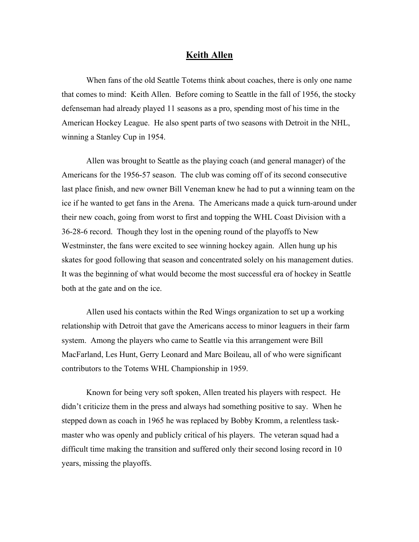## **Keith Allen**

When fans of the old Seattle Totems think about coaches, there is only one name that comes to mind: Keith Allen. Before coming to Seattle in the fall of 1956, the stocky defenseman had already played 11 seasons as a pro, spending most of his time in the American Hockey League. He also spent parts of two seasons with Detroit in the NHL, winning a Stanley Cup in 1954.

Allen was brought to Seattle as the playing coach (and general manager) of the Americans for the 1956-57 season. The club was coming off of its second consecutive last place finish, and new owner Bill Veneman knew he had to put a winning team on the ice if he wanted to get fans in the Arena. The Americans made a quick turn-around under their new coach, going from worst to first and topping the WHL Coast Division with a 36-28-6 record. Though they lost in the opening round of the playoffs to New Westminster, the fans were excited to see winning hockey again. Allen hung up his skates for good following that season and concentrated solely on his management duties. It was the beginning of what would become the most successful era of hockey in Seattle both at the gate and on the ice.

Allen used his contacts within the Red Wings organization to set up a working relationship with Detroit that gave the Americans access to minor leaguers in their farm system. Among the players who came to Seattle via this arrangement were Bill MacFarland, Les Hunt, Gerry Leonard and Marc Boileau, all of who were significant contributors to the Totems WHL Championship in 1959.

Known for being very soft spoken, Allen treated his players with respect. He didn't criticize them in the press and always had something positive to say. When he stepped down as coach in 1965 he was replaced by Bobby Kromm, a relentless taskmaster who was openly and publicly critical of his players. The veteran squad had a difficult time making the transition and suffered only their second losing record in 10 years, missing the playoffs.